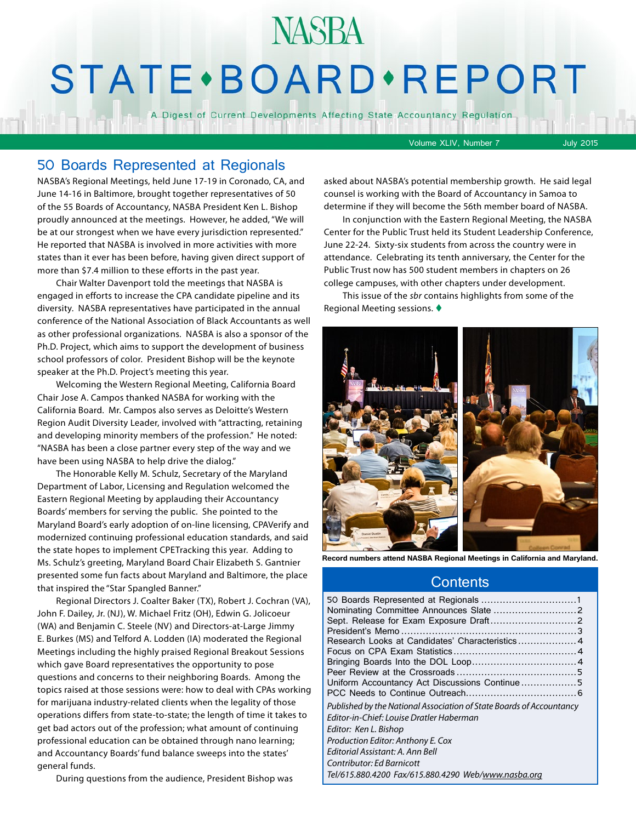## **NASBA STATE** · BOARD · REPORT

A Digest of Current Developments Affecting State Accountancy Regulation

Volume XLIV, Number 7 July 2015

## 50 Boards Represented at Regionals

NASBA's Regional Meetings, held June 17-19 in Coronado, CA, and June 14-16 in Baltimore, brought together representatives of 50 of the 55 Boards of Accountancy, NASBA President Ken L. Bishop proudly announced at the meetings. However, he added, "We will be at our strongest when we have every jurisdiction represented." He reported that NASBA is involved in more activities with more states than it ever has been before, having given direct support of more than \$7.4 million to these efforts in the past year.

Chair Walter Davenport told the meetings that NASBA is engaged in efforts to increase the CPA candidate pipeline and its diversity. NASBA representatives have participated in the annual conference of the National Association of Black Accountants as well as other professional organizations. NASBA is also a sponsor of the Ph.D. Project, which aims to support the development of business school professors of color. President Bishop will be the keynote speaker at the Ph.D. Project's meeting this year.

Welcoming the Western Regional Meeting, California Board Chair Jose A. Campos thanked NASBA for working with the California Board. Mr. Campos also serves as Deloitte's Western Region Audit Diversity Leader, involved with "attracting, retaining and developing minority members of the profession." He noted: "NASBA has been a close partner every step of the way and we have been using NASBA to help drive the dialog."

The Honorable Kelly M. Schulz, Secretary of the Maryland Department of Labor, Licensing and Regulation welcomed the Eastern Regional Meeting by applauding their Accountancy Boards' members for serving the public. She pointed to the Maryland Board's early adoption of on-line licensing, CPAVerify and modernized continuing professional education standards, and said the state hopes to implement CPETracking this year. Adding to Ms. Schulz's greeting, Maryland Board Chair Elizabeth S. Gantnier presented some fun facts about Maryland and Baltimore, the place that inspired the "Star Spangled Banner."

Regional Directors J. Coalter Baker (TX), Robert J. Cochran (VA), John F. Dailey, Jr. (NJ), W. Michael Fritz (OH), Edwin G. Jolicoeur (WA) and Benjamin C. Steele (NV) and Directors-at-Large Jimmy E. Burkes (MS) and Telford A. Lodden (IA) moderated the Regional Meetings including the highly praised Regional Breakout Sessions which gave Board representatives the opportunity to pose questions and concerns to their neighboring Boards. Among the topics raised at those sessions were: how to deal with CPAs working for marijuana industry-related clients when the legality of those operations differs from state-to-state; the length of time it takes to get bad actors out of the profession; what amount of continuing professional education can be obtained through nano learning; and Accountancy Boards' fund balance sweeps into the states' general funds.

During questions from the audience, President Bishop was

asked about NASBA's potential membership growth. He said legal counsel is working with the Board of Accountancy in Samoa to determine if they will become the 56th member board of NASBA.

In conjunction with the Eastern Regional Meeting, the NASBA Center for the Public Trust held its Student Leadership Conference, June 22-24. Sixty-six students from across the country were in attendance. Celebrating its tenth anniversary, the Center for the Public Trust now has 500 student members in chapters on 26 college campuses, with other chapters under development.

This issue of the *sbr* contains highlights from some of the Regional Meeting sessions.  $\blacklozenge$ 



**Record numbers attend NASBA Regional Meetings in California and Maryland.**

## **Contents**

| Research Looks at Candidates' Characteristics 4                      |  |
|----------------------------------------------------------------------|--|
|                                                                      |  |
|                                                                      |  |
|                                                                      |  |
| Uniform Accountancy Act Discussions Continue5                        |  |
|                                                                      |  |
| Published by the National Association of State Boards of Accountancy |  |
| Editor-in-Chief: Louise Dratler Haberman                             |  |
| Editor: Ken L. Bishop                                                |  |
| Production Editor: Anthony E. Cox                                    |  |
| Editorial Assistant: A. Ann Bell                                     |  |
| Contributor: Ed Barnicott                                            |  |
| Tel/615.880.4200 Fax/615.880.4290 Web/www.nasba.org                  |  |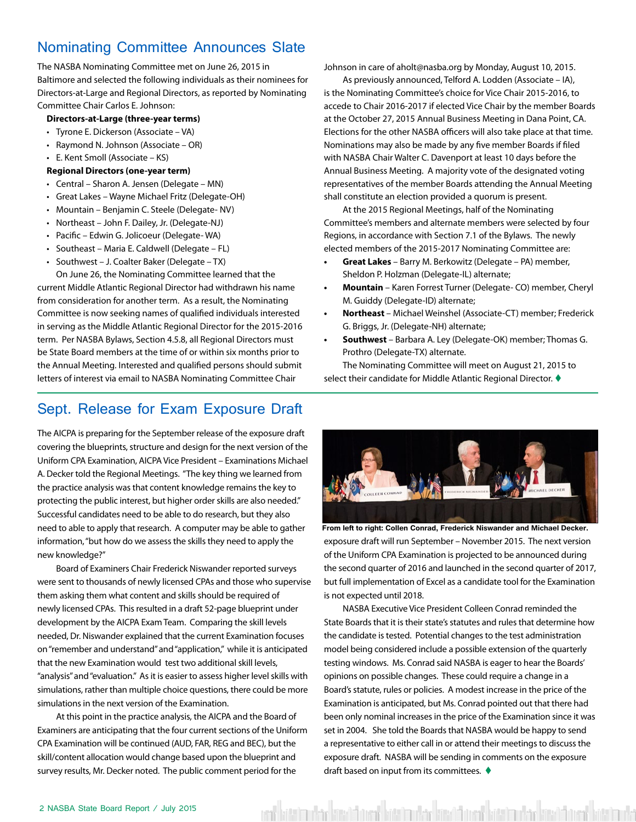## <span id="page-1-0"></span>Nominating Committee Announces Slate

The NASBA Nominating Committee met on June 26, 2015 in Baltimore and selected the following individuals as their nominees for Directors-at-Large and Regional Directors, as reported by Nominating Committee Chair Carlos E. Johnson:

#### **Directors-at-Large (three-year terms)**

- Tyrone E. Dickerson (Associate VA)
- Raymond N. Johnson (Associate OR)
- E. Kent Smoll (Associate KS)

#### **Regional Directors (one-year term)**

- Central Sharon A. Jensen (Delegate MN)
- Great Lakes Wayne Michael Fritz (Delegate-OH)
- Mountain Benjamin C. Steele (Delegate- NV)
- Northeast John F. Dailey, Jr. (Delegate-NJ)
- Pacific Edwin G. Jolicoeur (Delegate- WA)
- Southeast Maria E. Caldwell (Delegate FL)
- Southwest J. Coalter Baker (Delegate TX)

On June 26, the Nominating Committee learned that the current Middle Atlantic Regional Director had withdrawn his name from consideration for another term. As a result, the Nominating Committee is now seeking names of qualified individuals interested in serving as the Middle Atlantic Regional Director for the 2015-2016 term. Per NASBA Bylaws, Section 4.5.8, all Regional Directors must be State Board members at the time of or within six months prior to the Annual Meeting. Interested and qualified persons should submit letters of interest via email to NASBA Nominating Committee Chair

## Sept. Release for Exam Exposure Draft

The AICPA is preparing for the September release of the exposure draft covering the blueprints, structure and design for the next version of the Uniform CPA Examination, AICPA Vice President – Examinations Michael A. Decker told the Regional Meetings. "The key thing we learned from the practice analysis was that content knowledge remains the key to protecting the public interest, but higher order skills are also needed." Successful candidates need to be able to do research, but they also need to able to apply that research. A computer may be able to gather information, "but how do we assess the skills they need to apply the new knowledge?"

Board of Examiners Chair Frederick Niswander reported surveys were sent to thousands of newly licensed CPAs and those who supervise them asking them what content and skills should be required of newly licensed CPAs. This resulted in a draft 52-page blueprint under development by the AICPA Exam Team. Comparing the skill levels needed, Dr. Niswander explained that the current Examination focuses on "remember and understand" and "application," while it is anticipated that the new Examination would test two additional skill levels, "analysis" and "evaluation." As it is easier to assess higher level skills with simulations, rather than multiple choice questions, there could be more simulations in the next version of the Examination.

At this point in the practice analysis, the AICPA and the Board of Examiners are anticipating that the four current sections of the Uniform CPA Examination will be continued (AUD, FAR, REG and BEC), but the skill/content allocation would change based upon the blueprint and survey results, Mr. Decker noted. The public comment period for the

Johnson in care of [aholt@nasba.org](mailto:aholt@nasba.org) by Monday, August 10, 2015.

As previously announced, Telford A. Lodden (Associate – IA), is the Nominating Committee's choice for Vice Chair 2015-2016, to accede to Chair 2016-2017 if elected Vice Chair by the member Boards at the October 27, 2015 Annual Business Meeting in Dana Point, CA. Elections for the other NASBA officers will also take place at that time. Nominations may also be made by any five member Boards if filed with NASBA Chair Walter C. Davenport at least 10 days before the Annual Business Meeting. A majority vote of the designated voting representatives of the member Boards attending the Annual Meeting shall constitute an election provided a quorum is present.

At the 2015 Regional Meetings, half of the Nominating Committee's members and alternate members were selected by four Regions, in accordance with Section 7.1 of the Bylaws. The newly elected members of the 2015-2017 Nominating Committee are:

- **• Great Lakes**  Barry M. Berkowitz (Delegate PA) member, Sheldon P. Holzman (Delegate-IL) alternate;
- **• Mountain** Karen Forrest Turner (Delegate- CO) member, Cheryl M. Guiddy (Delegate-ID) alternate;
- **• Northeast**  Michael Weinshel (Associate-CT) member; Frederick G. Briggs, Jr. (Delegate-NH) alternate;
- **• Southwest**  Barbara A. Ley (Delegate-OK) member; Thomas G. Prothro (Delegate-TX) alternate.

The Nominating Committee will meet on August 21, 2015 to select their candidate for Middle Atlantic Regional Director.  $\blacklozenge$ 



exposure draft will run September – November 2015. The next version of the Uniform CPA Examination is projected to be announced during the second quarter of 2016 and launched in the second quarter of 2017, but full implementation of Excel as a candidate tool for the Examination is not expected until 2018. **From left to right: Collen Conrad, Frederick Niswander and Michael Decker.**

NASBA Executive Vice President Colleen Conrad reminded the State Boards that it is their state's statutes and rules that determine how the candidate is tested. Potential changes to the test administration model being considered include a possible extension of the quarterly testing windows. Ms. Conrad said NASBA is eager to hear the Boards' opinions on possible changes. These could require a change in a Board's statute, rules or policies. A modest increase in the price of the Examination is anticipated, but Ms. Conrad pointed out that there had been only nominal increases in the price of the Examination since it was set in 2004. She told the Boards that NASBA would be happy to send a representative to either call in or attend their meetings to discuss the exposure draft. NASBA will be sending in comments on the exposure draft based on input from its committees.  $\blacklozenge$ 

veri kött bashkar kött önem bött mukar kött önem bött bashkar kött önem bött bashkar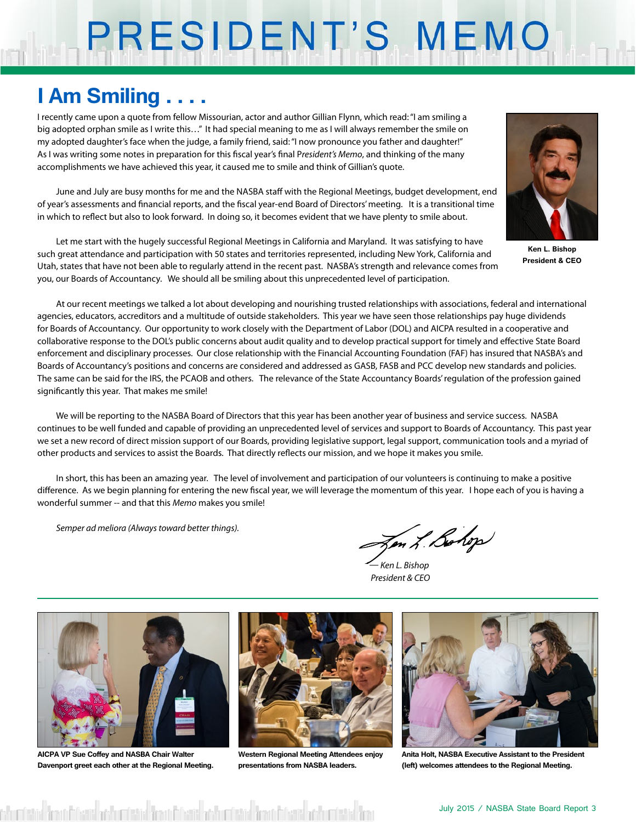# PRESIDENT'S MEMO

## **I Am Smiling . . . .**

I recently came upon a quote from fellow Missourian, actor and author Gillian Flynn, which read: "I am smiling a big adopted orphan smile as I write this…" It had special meaning to me as I will always remember the smile on my adopted daughter's face when the judge, a family friend, said: "I now pronounce you father and daughter!" As I was writing some notes in preparation for this fiscal year's final P*resident's Memo*, and thinking of the many accomplishments we have achieved this year, it caused me to smile and think of Gillian's quote.

June and July are busy months for me and the NASBA staff with the Regional Meetings, budget development, end of year's assessments and financial reports, and the fiscal year-end Board of Directors' meeting. It is a transitional time in which to reflect but also to look forward. In doing so, it becomes evident that we have plenty to smile about.

Let me start with the hugely successful Regional Meetings in California and Maryland. It was satisfying to have such great attendance and participation with 50 states and territories represented, including New York, California and Utah, states that have not been able to regularly attend in the recent past. NASBA's strength and relevance comes from you, our Boards of Accountancy. We should all be smiling about this unprecedented level of participation.



**Ken L. Bishop President & CEO**

At our recent meetings we talked a lot about developing and nourishing trusted relationships with associations, federal and international agencies, educators, accreditors and a multitude of outside stakeholders. This year we have seen those relationships pay huge dividends for Boards of Accountancy. Our opportunity to work closely with the Department of Labor (DOL) and AICPA resulted in a cooperative and collaborative response to the DOL's public concerns about audit quality and to develop practical support for timely and effective State Board enforcement and disciplinary processes. Our close relationship with the Financial Accounting Foundation (FAF) has insured that NASBA's and Boards of Accountancy's positions and concerns are considered and addressed as GASB, FASB and PCC develop new standards and policies. The same can be said for the IRS, the PCAOB and others. The relevance of the State Accountancy Boards' regulation of the profession gained significantly this year. That makes me smile!

We will be reporting to the NASBA Board of Directors that this year has been another year of business and service success. NASBA continues to be well funded and capable of providing an unprecedented level of services and support to Boards of Accountancy. This past year we set a new record of direct mission support of our Boards, providing legislative support, legal support, communication tools and a myriad of other products and services to assist the Boards. That directly reflects our mission, and we hope it makes you smile.

In short, this has been an amazing year. The level of involvement and participation of our volunteers is continuing to make a positive difference. As we begin planning for entering the new fiscal year, we will leverage the momentum of this year. I hope each of you is having a wonderful summer -- and that this *Memo* makes you smile!

*Semper ad meliora (Always toward better things).*

Jen L. Bohop

*— Ken L. Bishop President & CEO*



**AICPA VP Sue Coffey and NASBA Chair Walter Davenport greet each other at the Regional Meeting.**

is from Division to burning from Division and under the financial and unless



**Western Regional Meeting Attendees enjoy presentations from NASBA leaders.**



**Anita Holt, NASBA Executive Assistant to the President (left) welcomes attendees to the Regional Meeting.**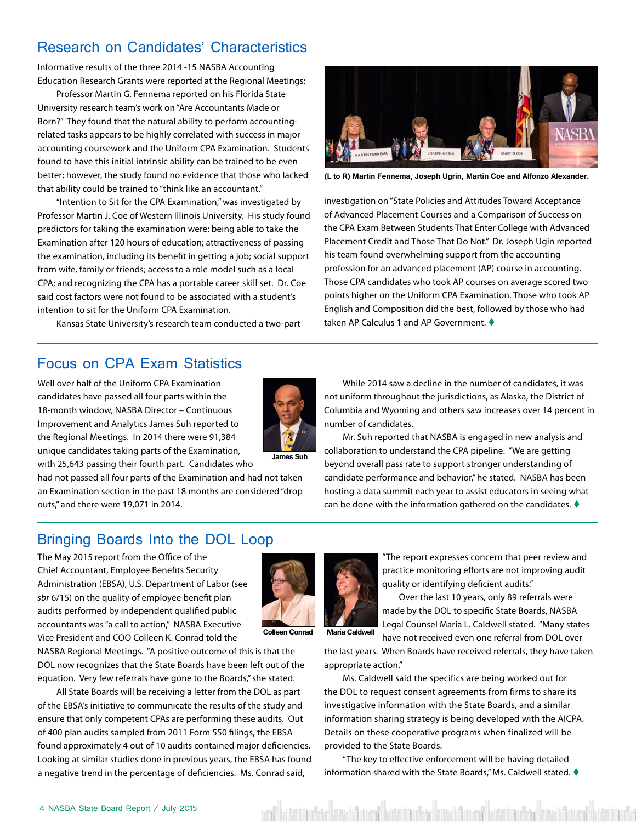## <span id="page-3-0"></span>Research on Candidates' Characteristics

Informative results of the three 2014 -15 NASBA Accounting Education Research Grants were reported at the Regional Meetings:

Professor Martin G. Fennema reported on his Florida State University research team's work on "Are Accountants Made or Born?" They found that the natural ability to perform accountingrelated tasks appears to be highly correlated with success in major accounting coursework and the Uniform CPA Examination. Students found to have this initial intrinsic ability can be trained to be even better; however, the study found no evidence that those who lacked that ability could be trained to "think like an accountant."

"Intention to Sit for the CPA Examination," was investigated by Professor Martin J. Coe of Western Illinois University. His study found predictors for taking the examination were: being able to take the Examination after 120 hours of education; attractiveness of passing the examination, including its benefit in getting a job; social support from wife, family or friends; access to a role model such as a local CPA; and recognizing the CPA has a portable career skill set. Dr. Coe said cost factors were not found to be associated with a student's intention to sit for the Uniform CPA Examination.

Kansas State University's research team conducted a two-part



**(L to R) Martin Fennema, Joseph Ugrin, Martin Coe and Alfonzo Alexander.**

investigation on "State Policies and Attitudes Toward Acceptance of Advanced Placement Courses and a Comparison of Success on the CPA Exam Between Students That Enter College with Advanced Placement Credit and Those That Do Not." Dr. Joseph Ugin reported his team found overwhelming support from the accounting profession for an advanced placement (AP) course in accounting. Those CPA candidates who took AP courses on average scored two points higher on the Uniform CPA Examination. Those who took AP English and Composition did the best, followed by those who had taken AP Calculus 1 and AP Government.  $\blacklozenge$ 

## Focus on CPA Exam Statistics

Well over half of the Uniform CPA Examination candidates have passed all four parts within the 18-month window, NASBA Director – Continuous Improvement and Analytics James Suh reported to the Regional Meetings. In 2014 there were 91,384 unique candidates taking parts of the Examination, with 25,643 passing their fourth part. Candidates who

outs," and there were 19,071 in 2014.

**James Suh**

While 2014 saw a decline in the number of candidates, it was not uniform throughout the jurisdictions, as Alaska, the District of Columbia and Wyoming and others saw increases over 14 percent in number of candidates.

Mr. Suh reported that NASBA is engaged in new analysis and collaboration to understand the CPA pipeline. "We are getting beyond overall pass rate to support stronger understanding of candidate performance and behavior," he stated. NASBA has been hosting a data summit each year to assist educators in seeing what can be done with the information gathered on the candidates.  $\blacklozenge$ 

## Bringing Boards Into the DOL Loop

had not passed all four parts of the Examination and had not taken an Examination section in the past 18 months are considered "drop

The May 2015 report from the Office of the Chief Accountant, Employee Benefits Security Administration (EBSA), U.S. Department of Labor (see *sbr* 6/15) on the quality of employee benefit plan audits performed by independent qualified public accountants was "a call to action," NASBA Executive Vice President and COO Colleen K. Conrad told the



NASBA Regional Meetings. "A positive outcome of this is that the DOL now recognizes that the State Boards have been left out of the equation. Very few referrals have gone to the Boards," she stated.

All State Boards will be receiving a letter from the DOL as part of the EBSA's initiative to communicate the results of the study and ensure that only competent CPAs are performing these audits. Out of 400 plan audits sampled from 2011 Form 550 filings, the EBSA found approximately 4 out of 10 audits contained major deficiencies. Looking at similar studies done in previous years, the EBSA has found a negative trend in the percentage of deficiencies. Ms. Conrad said,

"The report expresses concern that peer review and practice monitoring efforts are not improving audit quality or identifying deficient audits."

Over the last 10 years, only 89 referrals were made by the DOL to specific State Boards, NASBA Legal Counsel Maria L. Caldwell stated. "Many states have not received even one referral from DOL over

**Colleen Conrad Maria Caldwell**

the last years. When Boards have received referrals, they have taken appropriate action."

Ms. Caldwell said the specifics are being worked out for the DOL to request consent agreements from firms to share its investigative information with the State Boards, and a similar information sharing strategy is being developed with the AICPA. Details on these cooperative programs when finalized will be provided to the State Boards.

"The key to effective enforcement will be having detailed information shared with the State Boards," Ms. Caldwell stated.  $\blacklozenge$ 

kött handels kött dörman kött han han kött och kött han han kött dem hatt han handels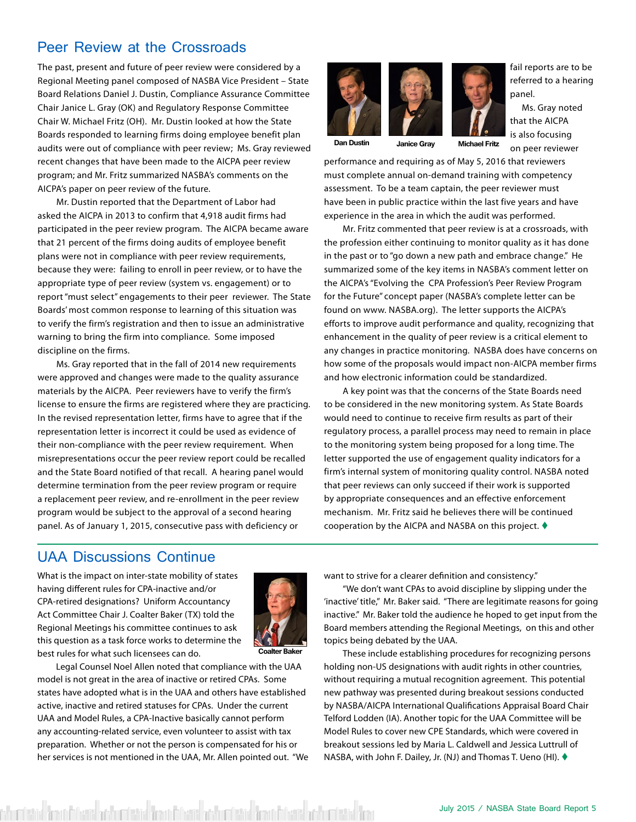## <span id="page-4-0"></span>Peer Review at the Crossroads

The past, present and future of peer review were considered by a Regional Meeting panel composed of NASBA Vice President – State Board Relations Daniel J. Dustin, Compliance Assurance Committee Chair Janice L. Gray (OK) and Regulatory Response Committee Chair W. Michael Fritz (OH). Mr. Dustin looked at how the State Boards responded to learning firms doing employee benefit plan audits were out of compliance with peer review; Ms. Gray reviewed recent changes that have been made to the AICPA peer review program; and Mr. Fritz summarized NASBA's comments on the AICPA's paper on peer review of the future.

Mr. Dustin reported that the Department of Labor had asked the AICPA in 2013 to confirm that 4,918 audit firms had participated in the peer review program. The AICPA became aware that 21 percent of the firms doing audits of employee benefit plans were not in compliance with peer review requirements, because they were: failing to enroll in peer review, or to have the appropriate type of peer review (system vs. engagement) or to report "must select" engagements to their peer reviewer. The State Boards' most common response to learning of this situation was to verify the firm's registration and then to issue an administrative warning to bring the firm into compliance. Some imposed discipline on the firms.

Ms. Gray reported that in the fall of 2014 new requirements were approved and changes were made to the quality assurance materials by the AICPA. Peer reviewers have to verify the firm's license to ensure the firms are registered where they are practicing. In the revised representation letter, firms have to agree that if the representation letter is incorrect it could be used as evidence of their non-compliance with the peer review requirement. When misrepresentations occur the peer review report could be recalled and the State Board notified of that recall. A hearing panel would determine termination from the peer review program or require a replacement peer review, and re-enrollment in the peer review program would be subject to the approval of a second hearing panel. As of January 1, 2015, consecutive pass with deficiency or



**Dan Dustin Janice Gray Michael Fritz**

fail reports are to be referred to a hearing panel.

 Ms. Gray noted that the AICPA is also focusing on peer reviewer

performance and requiring as of May 5, 2016 that reviewers must complete annual on-demand training with competency assessment. To be a team captain, the peer reviewer must have been in public practice within the last five years and have experience in the area in which the audit was performed.

Mr. Fritz commented that peer review is at a crossroads, with the profession either continuing to monitor quality as it has done in the past or to "go down a new path and embrace change." He summarized some of the key items in NASBA's comment letter on the AICPA's "Evolving the CPA Profession's Peer Review Program for the Future" concept paper (NASBA's complete letter can be found on www. [NASBA.org\)](NASBA.org). The letter supports the AICPA's efforts to improve audit performance and quality, recognizing that enhancement in the quality of peer review is a critical element to any changes in practice monitoring. NASBA does have concerns on how some of the proposals would impact non-AICPA member firms and how electronic information could be standardized.

A key point was that the concerns of the State Boards need to be considered in the new monitoring system. As State Boards would need to continue to receive firm results as part of their regulatory process, a parallel process may need to remain in place to the monitoring system being proposed for a long time. The letter supported the use of engagement quality indicators for a firm's internal system of monitoring quality control. NASBA noted that peer reviews can only succeed if their work is supported by appropriate consequences and an effective enforcement mechanism. Mr. Fritz said he believes there will be continued cooperation by the AICPA and NASBA on this project.  $\blacklozenge$ 

## UAA Discussions Continue

What is the impact on inter-state mobility of states having different rules for CPA-inactive and/or CPA-retired designations? Uniform Accountancy Act Committee Chair J. Coalter Baker (TX) told the Regional Meetings his committee continues to ask this question as a task force works to determine the best rules for what such licensees can do.



**Coalter Baker**

Legal Counsel Noel Allen noted that compliance with the UAA model is not great in the area of inactive or retired CPAs. Some states have adopted what is in the UAA and others have established active, inactive and retired statuses for CPAs. Under the current UAA and Model Rules, a CPA-Inactive basically cannot perform any accounting-related service, even volunteer to assist with tax preparation. Whether or not the person is compensated for his or her services is not mentioned in the UAA, Mr. Allen pointed out. "We want to strive for a clearer definition and consistency."

"We don't want CPAs to avoid discipline by slipping under the 'inactive' title," Mr. Baker said. "There are legitimate reasons for going inactive." Mr. Baker told the audience he hoped to get input from the Board members attending the Regional Meetings, on this and other topics being debated by the UAA.

These include establishing procedures for recognizing persons holding non-US designations with audit rights in other countries, without requiring a mutual recognition agreement. This potential new pathway was presented during breakout sessions conducted by NASBA/AICPA International Qualifications Appraisal Board Chair Telford Lodden (IA). Another topic for the UAA Committee will be Model Rules to cover new CPE Standards, which were covered in breakout sessions led by Maria L. Caldwell and Jessica Luttrull of NASBA, with John F. Dailey, Jr. (NJ) and Thomas T. Ueno (HI). ♦